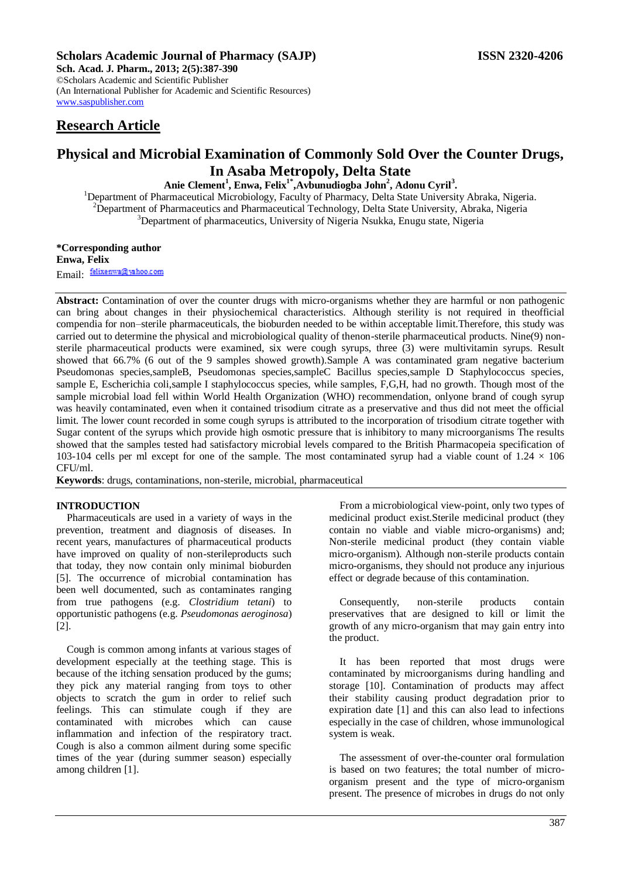# **Scholars Academic Journal of Pharmacy (SAJP) ISSN 2320-4206**

**Sch. Acad. J. Pharm., 2013; 2(5):387-390** ©Scholars Academic and Scientific Publisher (An International Publisher for Academic and Scientific Resources) [www.saspublisher.com](http://www.saspublisher.com/) 

# **Research Article**

# **Physical and Microbial Examination of Commonly Sold Over the Counter Drugs, In Asaba Metropoly, Delta State**

**Anie Clement<sup>1</sup> , Enwa, Felix1\*,Avbunudiogba John<sup>2</sup> , Adonu Cyril<sup>3</sup> .**

<sup>1</sup>Department of Pharmaceutical Microbiology, Faculty of Pharmacy, Delta State University Abraka, Nigeria. <sup>2</sup>Department of Pharmaceutics and Pharmaceutical Technology, Delta State University, Abraka, Nigeria <sup>3</sup>Department of pharmaceutics, University of Nigeria Nsukka, Enugu state, Nigeria

**\*Corresponding author Enwa, Felix** Email: felixenwa@yahoo.com

**Abstract:** Contamination of over the counter drugs with micro-organisms whether they are harmful or non pathogenic can bring about changes in their physiochemical characteristics. Although sterility is not required in theofficial compendia for non–sterile pharmaceuticals, the bioburden needed to be within acceptable limit.Therefore, this study was carried out to determine the physical and microbiological quality of thenon-sterile pharmaceutical products. Nine(9) nonsterile pharmaceutical products were examined, six were cough syrups, three (3) were multivitamin syrups. Result showed that 66.7% (6 out of the 9 samples showed growth).Sample A was contaminated gram negative bacterium Pseudomonas species,sampleB, Pseudomonas species,sampleC Bacillus species,sample D Staphylococcus species, sample E, Escherichia coli,sample I staphylococcus species, while samples, F,G,H, had no growth. Though most of the sample microbial load fell within World Health Organization (WHO) recommendation, onlyone brand of cough syrup was heavily contaminated, even when it contained trisodium citrate as a preservative and thus did not meet the official limit. The lower count recorded in some cough syrups is attributed to the incorporation of trisodium citrate together with Sugar content of the syrups which provide high osmotic pressure that is inhibitory to many microorganisms The results showed that the samples tested had satisfactory microbial levels compared to the British Pharmacopeia specification of 103-104 cells per ml except for one of the sample. The most contaminated syrup had a viable count of  $1.24 \times 106$ CFU/ml.

**Keywords**: drugs, contaminations, non-sterile, microbial, pharmaceutical

## **INTRODUCTION**

Pharmaceuticals are used in a variety of ways in the prevention, treatment and diagnosis of diseases. In recent years, manufactures of pharmaceutical products have improved on quality of non-sterileproducts such that today, they now contain only minimal bioburden [5]. The occurrence of microbial contamination has been well documented, such as contaminates ranging from true pathogens (e.g. *Clostridium tetani*) to opportunistic pathogens (e.g. *Pseudomonas aeroginosa*) [2].

Cough is common among infants at various stages of development especially at the teething stage. This is because of the itching sensation produced by the gums; they pick any material ranging from toys to other objects to scratch the gum in order to relief such feelings. This can stimulate cough if they are contaminated with microbes which can cause inflammation and infection of the respiratory tract. Cough is also a common ailment during some specific times of the year (during summer season) especially among children [1].

From a microbiological view-point, only two types of medicinal product exist.Sterile medicinal product (they contain no viable and viable micro-organisms) and; Non-sterile medicinal product (they contain viable micro-organism). Although non-sterile products contain micro-organisms, they should not produce any injurious effect or degrade because of this contamination.

Consequently, non-sterile products contain preservatives that are designed to kill or limit the growth of any micro-organism that may gain entry into the product.

It has been reported that most drugs were contaminated by microorganisms during handling and storage [10]. Contamination of products may affect their stability causing product degradation prior to expiration date [1] and this can also lead to infections especially in the case of children, whose immunological system is weak.

The assessment of over-the-counter oral formulation is based on two features; the total number of microorganism present and the type of micro-organism present. The presence of microbes in drugs do not only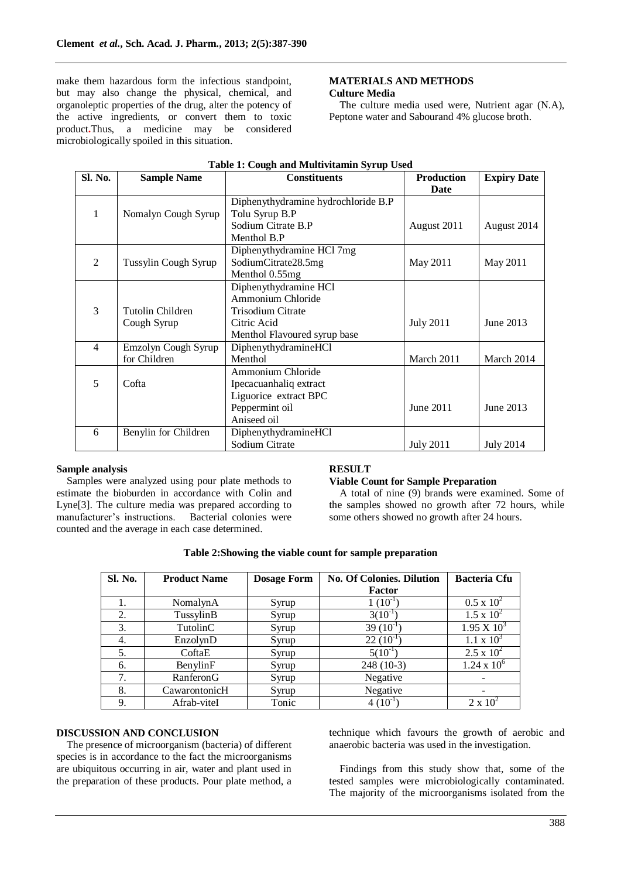make them hazardous form the infectious standpoint, but may also change the physical, chemical, and organoleptic properties of the drug, alter the potency of the active ingredients, or convert them to toxic product**.**Thus, a medicine may be considered microbiologically spoiled in this situation.

## **MATERIALS AND METHODS Culture Media**

The culture media used were, Nutrient agar (N.A), Peptone water and Sabourand 4% glucose broth.

| <b>Sl. No.</b> | <b>Sample Name</b>   | <b>Constituents</b>                 | <b>Production</b><br>Date | <b>Expiry Date</b> |
|----------------|----------------------|-------------------------------------|---------------------------|--------------------|
|                |                      | Diphenythydramine hydrochloride B.P |                           |                    |
| 1              | Nomalyn Cough Syrup  | Tolu Syrup B.P                      |                           |                    |
|                |                      | Sodium Citrate B.P                  | August 2011               | August 2014        |
|                |                      | Menthol B.P                         |                           |                    |
|                |                      | Diphenythydramine HCl 7mg           |                           |                    |
| 2              | Tussylin Cough Syrup | SodiumCitrate28.5mg                 | May 2011                  | May 2011           |
|                |                      | Menthol 0.55mg                      |                           |                    |
|                |                      | Diphenythydramine HCl               |                           |                    |
|                |                      | Ammonium Chloride                   |                           |                    |
| 3              | Tutolin Children     | Trisodium Citrate                   |                           |                    |
|                | Cough Syrup          | Citric Acid                         | <b>July 2011</b>          | June 2013          |
|                |                      | Menthol Flavoured syrup base        |                           |                    |
| $\overline{4}$ | Emzolyn Cough Syrup  | DiphenythydramineHCl                |                           |                    |
|                | for Children         | Menthol                             | March 2011                | March 2014         |
|                |                      | Ammonium Chloride                   |                           |                    |
| 5              | Cofta                | Ipecacuanhaliq extract              |                           |                    |
|                |                      | Liguorice extract BPC               |                           |                    |
|                |                      | Peppermint oil                      | June 2011                 | June 2013          |
|                |                      | Aniseed oil                         |                           |                    |
| 6              | Benylin for Children | DiphenythydramineHCl                |                           |                    |
|                |                      | Sodium Citrate                      | <b>July 2011</b>          | <b>July 2014</b>   |

# **Table 1: Cough and Multivitamin Syrup Used**

## **Sample analysis**

Samples were analyzed using pour plate methods to estimate the bioburden in accordance with Colin and Lyne[3]. The culture media was prepared according to manufacturer's instructions. Bacterial colonies were counted and the average in each case determined.

# **RESULT**

#### **Viable Count for Sample Preparation**

A total of nine (9) brands were examined. Some of the samples showed no growth after 72 hours, while some others showed no growth after 24 hours.

| Sl. No. | <b>Product Name</b> | <b>Dosage Form</b> | <b>No. Of Colonies. Dilution</b> | <b>Bacteria Cfu</b>  |
|---------|---------------------|--------------------|----------------------------------|----------------------|
|         |                     |                    | Factor                           |                      |
|         | NomalynA            | Syrup              | $1(10^{-1}$                      | $0.5 \times 10^{2}$  |
| 2.      | TussylinB           | Syrup              | $3(10^{-1}$                      | $1.5 \times 10^{2}$  |
| 3.      | TutolinC            | Syrup              | $39(10^{-1}$                     | $1.95 \times 10^3$   |
| 4.      | EnzolynD            | Syrup              | $22(10^{-1}$                     | $1.1 \times 10^{3}$  |
| 5.      | CoftaE              | Syrup              | $5(10^{-1}$                      | $2.5 \times 10^{2}$  |
| 6.      | BenylinF            | Syrup              | $248(10-3)$                      | $1.24 \times 10^{6}$ |
| 7.      | RanferonG           | Syrup              | Negative                         |                      |
| 8.      | CawarontonicH       | Syrup              | Negative                         |                      |
| 9.      | Afrab-viteI         | Tonic              | $4(10^{-1}$                      | $2 \times 10^2$      |

# **Table 2:Showing the viable count for sample preparation**

#### **DISCUSSION AND CONCLUSION**

The presence of microorganism (bacteria) of different species is in accordance to the fact the microorganisms are ubiquitous occurring in air, water and plant used in the preparation of these products. Pour plate method, a technique which favours the growth of aerobic and anaerobic bacteria was used in the investigation.

Findings from this study show that, some of the tested samples were microbiologically contaminated. The majority of the microorganisms isolated from the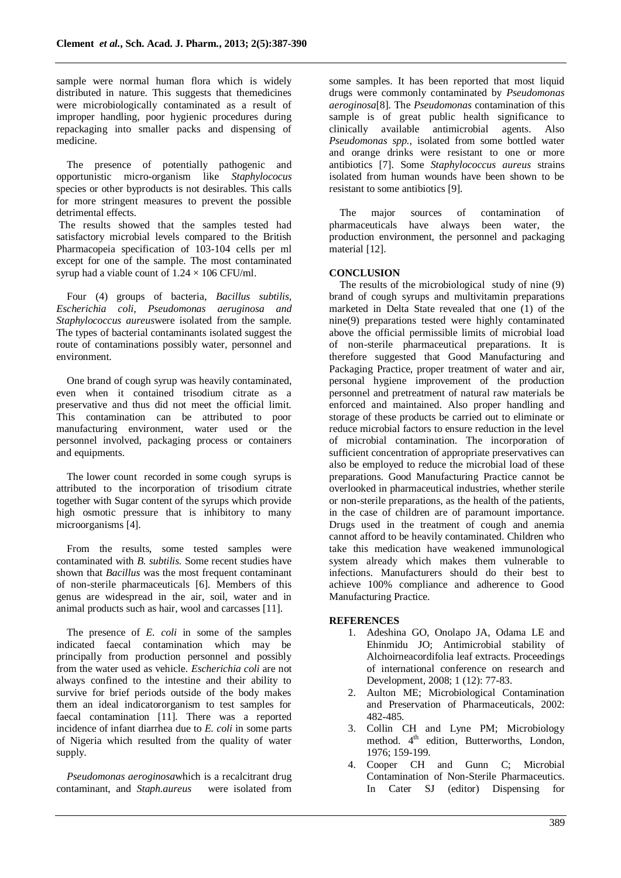sample were normal human flora which is widely distributed in nature. This suggests that themedicines were microbiologically contaminated as a result of improper handling, poor hygienic procedures during repackaging into smaller packs and dispensing of medicine.

The presence of potentially pathogenic and opportunistic micro-organism like *Staphylococus* species or other byproducts is not desirables. This calls for more stringent measures to prevent the possible detrimental effects.

The results showed that the samples tested had satisfactory microbial levels compared to the British Pharmacopeia specification of 103-104 cells per ml except for one of the sample. The most contaminated syrup had a viable count of  $1.24 \times 106$  CFU/ml.

Four (4) groups of bacteria, *Bacillus subtilis, Escherichia coli, Pseudomonas aeruginosa and Staphylococcus aureus*were isolated from the sample. The types of bacterial contaminants isolated suggest the route of contaminations possibly water, personnel and environment.

One brand of cough syrup was heavily contaminated, even when it contained trisodium citrate as a preservative and thus did not meet the official limit. This contamination can be attributed to poor manufacturing environment, water used or the personnel involved, packaging process or containers and equipments.

The lower count recorded in some cough syrups is attributed to the incorporation of trisodium citrate together with Sugar content of the syrups which provide high osmotic pressure that is inhibitory to many microorganisms [4].

From the results, some tested samples were contaminated with *B. subtilis.* Some recent studies have shown that *Bacillus* was the most frequent contaminant of non-sterile pharmaceuticals [6]. Members of this genus are widespread in the air, soil, water and in animal products such as hair, wool and carcasses [11].

The presence of *E. coli* in some of the samples indicated faecal contamination which may be principally from production personnel and possibly from the water used as vehicle. *Escherichia coli* are not always confined to the intestine and their ability to survive for brief periods outside of the body makes them an ideal indicatororganism to test samples for faecal contamination [11]. There was a reported incidence of infant diarrhea due to *E. coli* in some parts of Nigeria which resulted from the quality of water supply.

*Pseudomonas aeroginosa*which is a recalcitrant drug contaminant, and *Staph.aureus* were isolated from some samples. It has been reported that most liquid drugs were commonly contaminated by *Pseudomonas aeroginosa*[8]. The *Pseudomonas* contamination of this sample is of great public health significance to clinically available antimicrobial agents. Also *Pseudomonas spp.,* isolated from some bottled water and orange drinks were resistant to one or more antibiotics [7]. Some *Staphylococcus aureus* strains isolated from human wounds have been shown to be resistant to some antibiotics [9].

The major sources of contamination of pharmaceuticals have always been water, the production environment, the personnel and packaging material [12].

# **CONCLUSION**

The results of the microbiological study of nine (9) brand of cough syrups and multivitamin preparations marketed in Delta State revealed that one (1) of the nine(9) preparations tested were highly contaminated above the official permissible limits of microbial load of non-sterile pharmaceutical preparations. It is therefore suggested that Good Manufacturing and Packaging Practice, proper treatment of water and air, personal hygiene improvement of the production personnel and pretreatment of natural raw materials be enforced and maintained. Also proper handling and storage of these products be carried out to eliminate or reduce microbial factors to ensure reduction in the level of microbial contamination. The incorporation of sufficient concentration of appropriate preservatives can also be employed to reduce the microbial load of these preparations. Good Manufacturing Practice cannot be overlooked in pharmaceutical industries, whether sterile or non-sterile preparations, as the health of the patients, in the case of children are of paramount importance. Drugs used in the treatment of cough and anemia cannot afford to be heavily contaminated. Children who take this medication have weakened immunological system already which makes them vulnerable to infections. Manufacturers should do their best to achieve 100% compliance and adherence to Good Manufacturing Practice.

## **REFERENCES**

- 1. Adeshina GO, Onolapo JA, Odama LE and Ehinmidu JO; Antimicrobial stability of Alchoirneacordifolia leaf extracts. Proceedings of international conference on research and Development, 2008; 1 (12): 77-83.
- 2. Aulton ME; Microbiological Contamination and Preservation of Pharmaceuticals, 2002: 482-485.
- 3. Collin CH and Lyne PM; Microbiology method. 4<sup>th</sup> edition, Butterworths, London, 1976; 159-199.
- 4. Cooper CH and Gunn C; Microbial Contamination of Non-Sterile Pharmaceutics. In Cater SJ (editor) Dispensing for